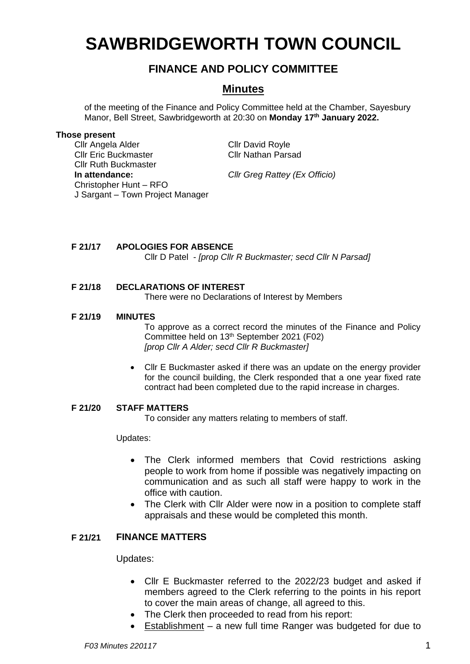# **SAWBRIDGEWORTH TOWN COUNCIL**

# **FINANCE AND POLICY COMMITTEE**

## **Minutes**

of the meeting of the Finance and Policy Committee held at the Chamber, Sayesbury Manor, Bell Street, Sawbridgeworth at 20:30 on **Monday 17 th January 2022.**

#### **Those present**

Cllr Angela Alder Cllr David Royle Cllr Eric Buckmaster Cllr Nathan Parsad Cllr Ruth Buckmaster **In attendance:** *Cllr Greg Rattey (Ex Officio)* Christopher Hunt – RFO J Sargant – Town Project Manager

## **F 21/17 APOLOGIES FOR ABSENCE**

Cllr D Patel - *[prop Cllr R Buckmaster; secd Cllr N Parsad]*

### **F 21/18 DECLARATIONS OF INTEREST**

There were no Declarations of Interest by Members

#### **F 21/19 MINUTES**

To approve as a correct record the minutes of the Finance and Policy Committee held on 13<sup>th</sup> September 2021 (F02) *[prop Cllr A Alder; secd Cllr R Buckmaster]*

• Cllr E Buckmaster asked if there was an update on the energy provider for the council building, the Clerk responded that a one year fixed rate contract had been completed due to the rapid increase in charges.

#### **F 21/20 STAFF MATTERS**

To consider any matters relating to members of staff.

Updates:

- The Clerk informed members that Covid restrictions asking people to work from home if possible was negatively impacting on communication and as such all staff were happy to work in the office with caution.
- The Clerk with Cllr Alder were now in a position to complete staff appraisals and these would be completed this month.

#### **F 21/21 FINANCE MATTERS**

Updates:

- Cllr E Buckmaster referred to the 2022/23 budget and asked if members agreed to the Clerk referring to the points in his report to cover the main areas of change, all agreed to this.
- The Clerk then proceeded to read from his report:
	- Establishment a new full time Ranger was budgeted for due to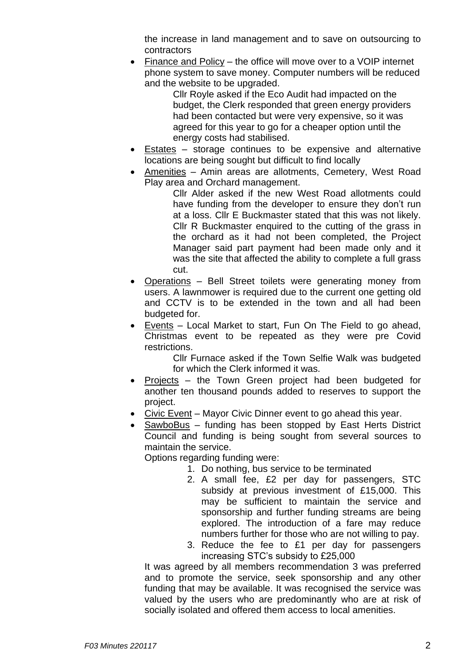the increase in land management and to save on outsourcing to contractors

• Finance and Policy – the office will move over to a VOIP internet phone system to save money. Computer numbers will be reduced and the website to be upgraded.

Cllr Royle asked if the Eco Audit had impacted on the budget, the Clerk responded that green energy providers had been contacted but were very expensive, so it was agreed for this year to go for a cheaper option until the energy costs had stabilised.

- Estates storage continues to be expensive and alternative locations are being sought but difficult to find locally
- Amenities Amin areas are allotments, Cemetery, West Road Play area and Orchard management.

Cllr Alder asked if the new West Road allotments could have funding from the developer to ensure they don't run at a loss. Cllr E Buckmaster stated that this was not likely. Cllr R Buckmaster enquired to the cutting of the grass in the orchard as it had not been completed, the Project Manager said part payment had been made only and it was the site that affected the ability to complete a full grass cut.

- Operations Bell Street toilets were generating money from users. A lawnmower is required due to the current one getting old and CCTV is to be extended in the town and all had been budgeted for.
- Events Local Market to start, Fun On The Field to go ahead, Christmas event to be repeated as they were pre Covid restrictions.

Cllr Furnace asked if the Town Selfie Walk was budgeted for which the Clerk informed it was.

- Projects the Town Green project had been budgeted for another ten thousand pounds added to reserves to support the project.
- Civic Event Mayor Civic Dinner event to go ahead this year.
- $SawboBus funding has been stopped by East Herts District$ Council and funding is being sought from several sources to maintain the service.

Options regarding funding were:

- 1. Do nothing, bus service to be terminated
- 2. A small fee, £2 per day for passengers, STC subsidy at previous investment of £15,000. This may be sufficient to maintain the service and sponsorship and further funding streams are being explored. The introduction of a fare may reduce numbers further for those who are not willing to pay.
- 3. Reduce the fee to £1 per day for passengers increasing STC's subsidy to £25,000

It was agreed by all members recommendation 3 was preferred and to promote the service, seek sponsorship and any other funding that may be available. It was recognised the service was valued by the users who are predominantly who are at risk of socially isolated and offered them access to local amenities.